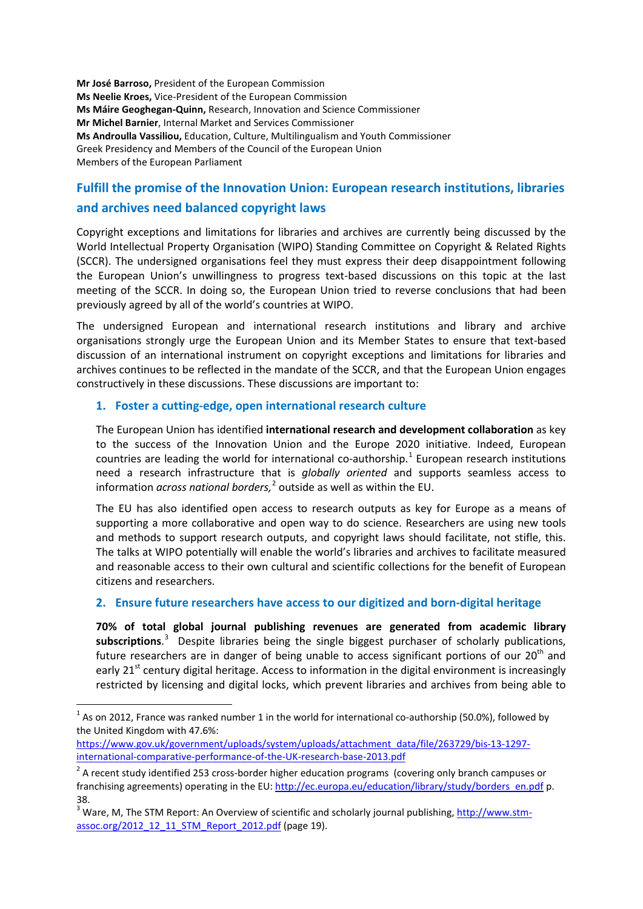**Mr José Barroso,** President of the European Commission **Ms Neelie Kroes,** Vice-President of the European Commission **Ms Máire Geoghegan-Quinn,** Research, Innovation and Science Commissioner **Mr Michel Barnier**, Internal Market and Services Commissioner **Ms Androulla Vassiliou,** Education, Culture, Multilingualism and Youth Commissioner Greek Presidency and Members of the Council of the European Union Members of the European Parliament

# **Fulfill the promise of the Innovation Union: European research institutions, libraries and archives need balanced copyright laws**

Copyright exceptions and limitations for libraries and archives are currently being discussed by the World Intellectual Property Organisation (WIPO) Standing Committee on Copyright & Related Rights (SCCR). The undersigned organisations feel they must express their deep disappointment following the European Union's unwillingness to progress text-based discussions on this topic at the last meeting of the SCCR. In doing so, the European Union tried to reverse conclusions that had been previously agreed by all of the world's countries at WIPO.

The undersigned European and international research institutions and library and archive organisations strongly urge the European Union and its Member States to ensure that text-based discussion of an international instrument on copyright exceptions and limitations for libraries and archives continues to be reflected in the mandate of the SCCR, and that the European Union engages constructively in these discussions. These discussions are important to:

## **1. Foster a cutting-edge, open international research culture**

The European Union has identified **international research and development collaboration** as key to the success of the Innovation Union and the Europe 2020 initiative. Indeed, European countries are leading the world for international co-authorship.<sup>[1](#page-0-0)</sup> European research institutions need a research infrastructure that is *globally oriented* and supports seamless access to information *across national borders,* [2](#page-0-1) outside as well as within the EU.

The EU has also identified open access to research outputs as key for Europe as a means of supporting a more collaborative and open way to do science. Researchers are using new tools and methods to support research outputs, and copyright laws should facilitate, not stifle, this. The talks at WIPO potentially will enable the world's libraries and archives to facilitate measured and reasonable access to their own cultural and scientific collections for the benefit of European citizens and researchers.

## **2. Ensure future researchers have access to our digitized and born-digital heritage**

**70% of total global journal publishing revenues are generated from academic library subscriptions**. [3](#page-0-2) Despite libraries being the single biggest purchaser of scholarly publications, future researchers are in danger of being unable to access significant portions of our  $20<sup>th</sup>$  and early  $21<sup>st</sup>$  century digital heritage. Access to information in the digital environment is increasingly restricted by licensing and digital locks, which prevent libraries and archives from being able to

[https://www.gov.uk/government/uploads/system/uploads/attachment\\_data/file/263729/bis-13-1297](https://www.gov.uk/government/uploads/system/uploads/attachment_data/file/263729/bis-13-1297-international-comparative-performance-of-the-UK-research-base-2013.pdf) [international-comparative-performance-of-the-UK-research-base-2013.pdf](https://www.gov.uk/government/uploads/system/uploads/attachment_data/file/263729/bis-13-1297-international-comparative-performance-of-the-UK-research-base-2013.pdf)

<span id="page-0-0"></span> $1$  As on 2012, France was ranked number 1 in the world for international co-authorship (50.0%), followed by the United Kingdom with 47.6%:

<span id="page-0-1"></span><sup>&</sup>lt;sup>2</sup> A recent study identified 253 cross-border higher education programs (covering only branch campuses or franchising agreements) operating in the EU: [http://ec.europa.eu/education/library/study/borders\\_en.pdf](http://ec.europa.eu/education/library/study/borders_en.pdf) p. 38.

<span id="page-0-2"></span><sup>&</sup>lt;sup>3</sup> Ware, M, The STM Report: An Overview of scientific and scholarly journal publishing, [http://www.stm](http://www.stm-assoc.org/2012_12_11_STM_Report_2012.pdf)[assoc.org/2012\\_12\\_11\\_STM\\_Report\\_2012.pdf](http://www.stm-assoc.org/2012_12_11_STM_Report_2012.pdf) (page 19).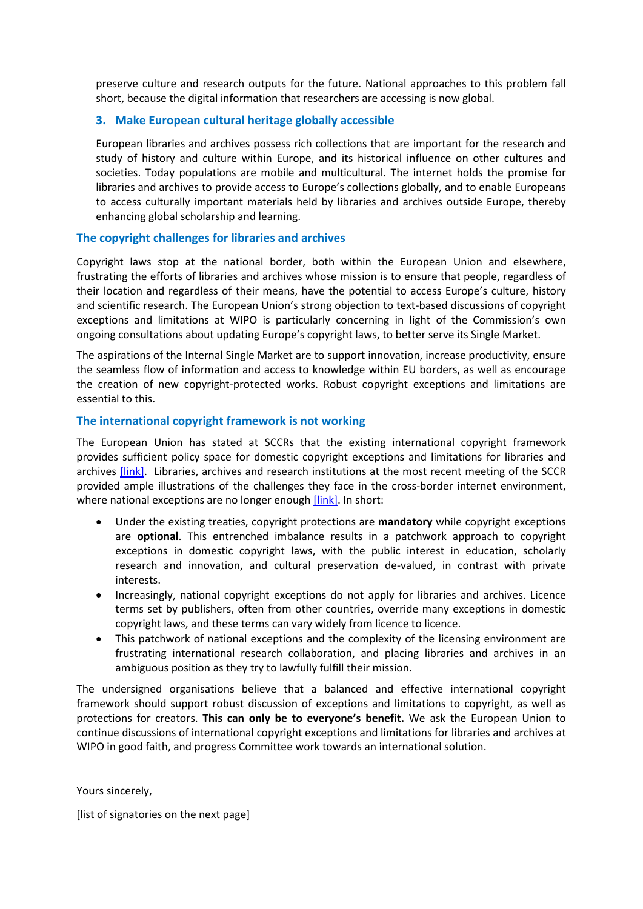preserve culture and research outputs for the future. National approaches to this problem fall short, because the digital information that researchers are accessing is now global.

#### **3. Make European cultural heritage globally accessible**

European libraries and archives possess rich collections that are important for the research and study of history and culture within Europe, and its historical influence on other cultures and societies. Today populations are mobile and multicultural. The internet holds the promise for libraries and archives to provide access to Europe's collections globally, and to enable Europeans to access culturally important materials held by libraries and archives outside Europe, thereby enhancing global scholarship and learning.

#### **The copyright challenges for libraries and archives**

Copyright laws stop at the national border, both within the European Union and elsewhere, frustrating the efforts of libraries and archives whose mission is to ensure that people, regardless of their location and regardless of their means, have the potential to access Europe's culture, history and scientific research. The European Union's strong objection to text-based discussions of copyright exceptions and limitations at WIPO is particularly concerning in light of the Commission's own ongoing consultations about updating Europe's copyright laws, to better serve its Single Market.

The aspirations of the Internal Single Market are to support innovation, increase productivity, ensure the seamless flow of information and access to knowledge within EU borders, as well as encourage the creation of new copyright-protected works. Robust copyright exceptions and limitations are essential to this.

#### **The international copyright framework is not working**

The European Union has stated at SCCRs that the existing international copyright framework provides sufficient policy space for domestic copyright exceptions and limitations for libraries and archives *[link]*. Libraries, archives and research institutions at the most recent meeting of the SCCR provided ample illustrations of the challenges they face in the cross-border internet environment, where national exceptions are no longer enough [\[link\].](http://blogs.ifla.org/sccr/) In short:

- Under the existing treaties, copyright protections are **mandatory** while copyright exceptions are **optional**. This entrenched imbalance results in a patchwork approach to copyright exceptions in domestic copyright laws, with the public interest in education, scholarly research and innovation, and cultural preservation de-valued, in contrast with private interests.
- Increasingly, national copyright exceptions do not apply for libraries and archives. Licence terms set by publishers, often from other countries, override many exceptions in domestic copyright laws, and these terms can vary widely from licence to licence.
- This patchwork of national exceptions and the complexity of the licensing environment are frustrating international research collaboration, and placing libraries and archives in an ambiguous position as they try to lawfully fulfill their mission.

The undersigned organisations believe that a balanced and effective international copyright framework should support robust discussion of exceptions and limitations to copyright, as well as protections for creators. **This can only be to everyone's benefit.** We ask the European Union to continue discussions of international copyright exceptions and limitations for libraries and archives at WIPO in good faith, and progress Committee work towards an international solution.

Yours sincerely,

[list of signatories on the next page]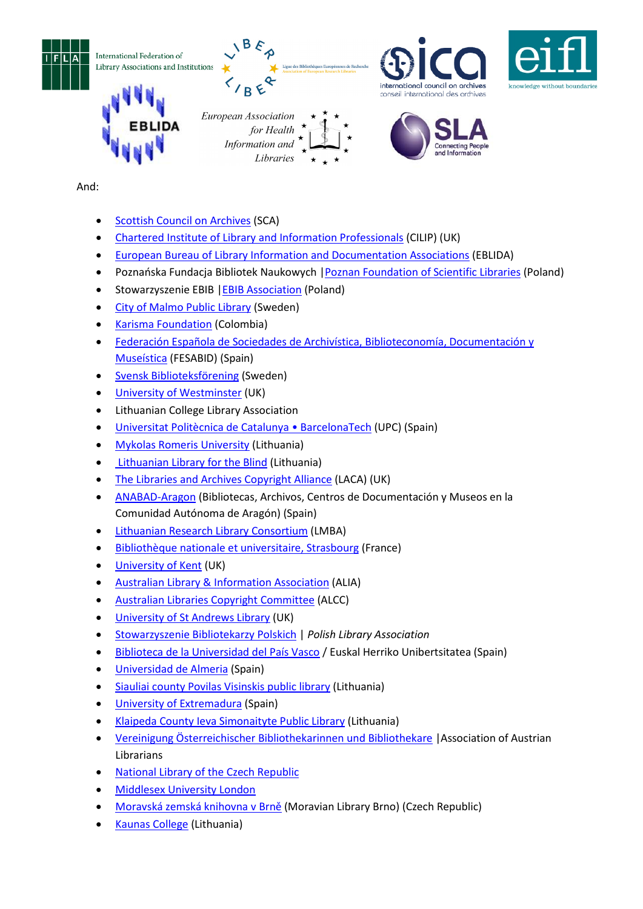







# And:

- [Scottish Council on Archives](http://www.scottisharchives.org.uk/) (SCA)
- [Chartered Institute of Library and Information Professionals](http://www.cilip.org.uk/) (CILIP) (UK)

Information and Libraries

- [European Bureau of Library Information and Documentation Associations](http://www.eblida.org/) (EBLIDA)
- Poznańska Fundacja Bibliotek Naukowych |[Poznan Foundation of Scientific Libraries](http://www.pfsl.poznan.pl/en) (Poland)
- Stowarzyszenie EBIB |[EBIB Association](http://strony.nowyebib.info/stowarzyszenie/home) (Poland)
- [City of Malmo Public Library](http://www.malmo.se/stadsbibliotek) (Sweden)
- [Karisma Foundation](http://karisma.org.co/) (Colombia)
- [Federación Española de Sociedades de Archivística, Biblioteconomía, Documentación y](http://www.fesabid.org/)  [Museística](http://www.fesabid.org/) (FESABID) (Spain)
- [Svensk Biblioteksförening](http://www.biblioteksforeningen.org/) (Sweden)
- [University of Westminster](http://www.westminster.ac.uk/) (UK)
- Lithuanian College Library Association
- [Universitat Politècnica de Catalunya BarcelonaTech](http://www.upc.edu/?set_language=en) (UPC) (Spain)
- [Mykolas Romeris University](http://www.mruni.eu/en/) (Lithuania)
- [Lithuanian Library for the Blind](http://www.labiblioteka.lt/en/) (Lithuania)
- [The Libraries and Archives Copyright Alliance](http://www.cilip.org.uk/cilip/advocacy-awards-and-projects/advocacy-and-campaigns/copyright/laca-libraries-and-archives) (LACA) (UK)
- [ANABAD-Aragon](http://www.anabad.org/ut-aragon.html) (Bibliotecas, Archivos, Centros de Documentación y Museos en la Comunidad Autónoma de Aragón) (Spain)
- [Lithuanian Research Library Consortium](http://www.lmba.lt/en) (LMBA)
- [Bibliothèque nationale et universitaire, Strasbourg](http://www.bnu.fr/en/) (France)
- [University of Kent](http://www.kent.ac.uk/) (UK)
- [Australian Library & Information Association](https://www.alia.org.au/) (ALIA)
- [Australian Libraries Copyright Committee](http://libcopyright.org.au/) (ALCC)
- [University of St Andrews Library](http://www.st-andrews.ac.uk/library/) (UK)
- [Stowarzyszenie Bibliotekarzy Polskich](http://www.sbp.pl/en) | *Polish Library Association*
- [Biblioteca de la Universidad del País Vasco](http://www.biblioteka.ehu.es/) / Euskal Herriko Unibertsitatea (Spain)
- [Universidad de Almeria](http://cms.ual.es/UAL/universidad/serviciosgenerales/deportes/index.htm) (Spain)
- [Siauliai county Povilas Visinskis public library](http://www.savb.lt/en/) (Lithuania)
- [University of Extremadura](http://www.unex.es/conoce-la-uex/estructura-academica/centros/veterinaria/contenido_portlets_configurables/car_20090327_001/car_20090327_006/informacion-varia/doc_20100225_001) (Spain)
- Klaipeda County [Ieva Simonaityte Public Library](http://www.klavb.lt/en/) (Lithuania)
- [Vereinigung Österreichischer Bibliothekarinnen und Bibliothekare](http://www.univie.ac.at/voeb/php/) |Association of Austrian Librarians
- **[National Library of the Czech Republic](http://www.en.nkp.cz/)**
- [Middlesex University London](http://www.mdx.ac.uk/)
- [Moravská zemská knihovna v Brně](http://www.mzk.cz/) (Moravian Library Brno) (Czech Republic)
- [Kaunas College](http://www.kaunokolegija.lt/) (Lithuania)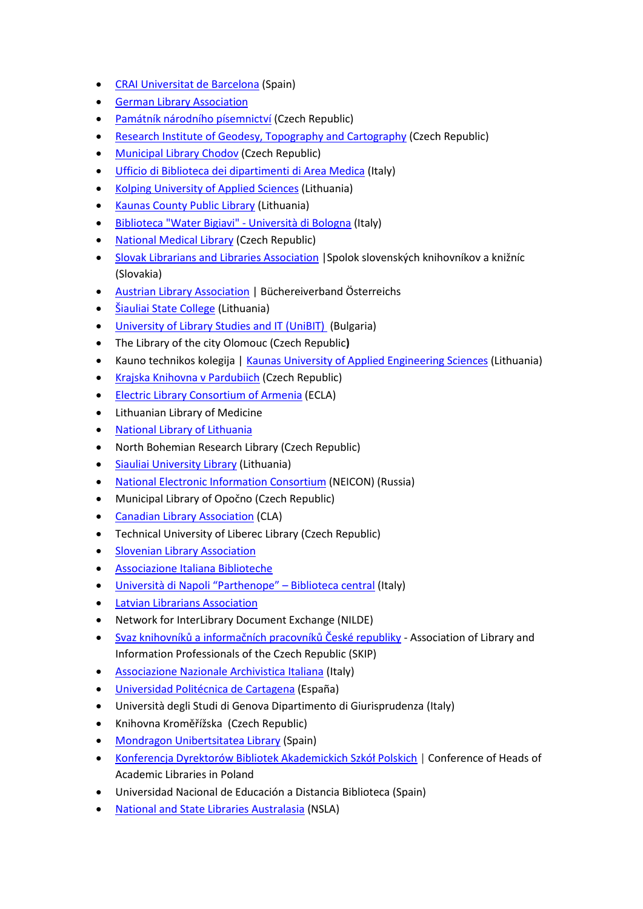- [CRAI Universitat de Barcelona](http://www.bib.ub.edu/en/) (Spain)
- [German Library Association](http://www.bibliotheksverband.de/)
- [Památník národního písemnictví](http://www.pamatniknarodnihopisemnictvi.cz/) (Czech Republic)
- [Research Institute of Geodesy, Topography and Cartography](http://www.vugtk.cz/) (Czech Republic)
- [Municipal Library Chodov](http://www.knihovnachodov.cz/) (Czech Republic)
- [Ufficio di Biblioteca dei dipartimenti di Area Medica](https://www.med.unipmn.it/biblioteca) (Italy)
- [Kolping University of Applied Sciences](http://kolegija.kolping.lt/about-us/) (Lithuania)
- [Kaunas County Public Library](http://www.kvb.lt/) (Lithuania)
- [Biblioteca "Water Bigiavi" -](http://biblioteche.unibo.it/bigiavi) Università di Bologna (Italy)
- [National Medical Library](http://www.nlk.cz/) (Czech Republic)
- [Slovak Librarians and Libraries Association](http://www.infolib.sk/sk/spolok-slovenskych-knihovnikov-kniznic/) |Spolok slovenských knihovníkov a knižníc (Slovakia)
- [Austrian Library Association](http://www.bvoe.at/en) | Büchereiverband Österreichs
- [Šiauliai State College](http://www.svako.lt/en) (Lithuania)
- [University of Library Studies and IT \(UniBIT\)](http://www.unibit.bg/en) (Bulgaria)
- The Library of the city Olomouc (Czech Republic**)**
- Kauno technikos kolegija | [Kaunas University of Applied Engineering Sciences](http://www.ktk.lt/cgi-bin/svetaine.pl?nr=0&kalba=3) (Lithuania)
- [Krajska Knihovna v Pardubiich](http://kkpce.cz/cs/) (Czech Republic)
- [Electric Library Consortium of Armenia](http://www.eifl.net/armenia/) (ECLA)
- Lithuanian Library of Medicine
- [National Library of Lithuania](http://www.lnb.lt/)
- North Bohemian Research Library (Czech Republic)
- [Siauliai University Library](http://biblioteka.su.lt/en/) (Lithuania)
- [National Electronic Information Consortium](http://www.neicon.ru/) (NEICON) (Russia)
- Municipal Library of Opočno (Czech Republic)
- [Canadian Library Association](http://www.cla.ca/) (CLA)
- Technical University of Liberec Library (Czech Republic)
- [Slovenian Library Association](http://www.zbds-zveza.si/eng/?q=node1/1)
- [Associazione Italiana Biblioteche](http://www.aib.it/)
- [Università di Napoli "Parthenope" –](http://biblioteca.uninav.it/) Biblioteca central (Italy)
- [Latvian Librarians Association](http://www.lnb.lv/en/librarians/latvian-librarians-association)
- Network for InterLibrary Document Exchange (NILDE)
- Svaz knihovník[ů a informačních pracovníků České republiky](http://www.skipcr.cz/) Association of Library and Information Professionals of the Czech Republic (SKIP)
- [Associazione Nazionale Archivistica Italiana](http://www.anai.org/) (Italy)
- Uni[versidad Politécnica de Cartagena](http://www.upct.es/) (España)
- Università degli Studi di Genova Dipartimento di Giurisprudenza (Italy)
- Knihovna Kroměřížska (Czech Republic)
- [Mondragon Unibertsitatea Library](http://www.mondragon.edu/es/biblioteka) (Spain)
- [Konferencja Dyrektorów Bibliotek Akademickich Szkół Polskich](http://kangur.uek.krakow.pl/kdbasp/) | Conference of Heads of Academic Libraries in Poland
- Universidad Nacional de Educación a Distancia Biblioteca (Spain)
- [National and State Libraries Australasia](http://www.nsla.org.au/) (NSLA)